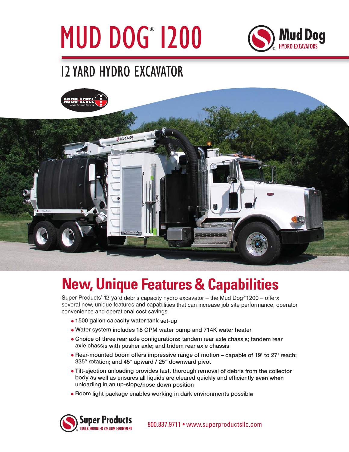# **MUD DOG 1200**



# **12 YARD HYDRO EXCAVATOR**



# **New, Unique Features & Capabilities**

Super Products' 12-yard debris capacity hydro excavator - the Mud Dog®1200 - offers several new, unique features and capabilities that can increase job site performance, operator convenience and operational cost savings.

- · 1500 gallon capacity water tank set-up
- . Water system includes 18 GPM water pump and 714K water heater
- Choice of three rear axle configurations: tandem rear axle chassis; tandem rear axle chassis with pusher axle; and tridem rear axle chassis
- . Rear-mounted boom offers impressive range of motion capable of 19' to 27' reach; 335° rotation; and 45° upward / 25° downward pivot
- Tilt-ejection unloading provides fast, thorough removal of debris from the collector body as well as ensures all liquids are cleared quickly and efficiently even when unloading in an up-slope/nose down position
- Boom light package enables working in dark environments possible